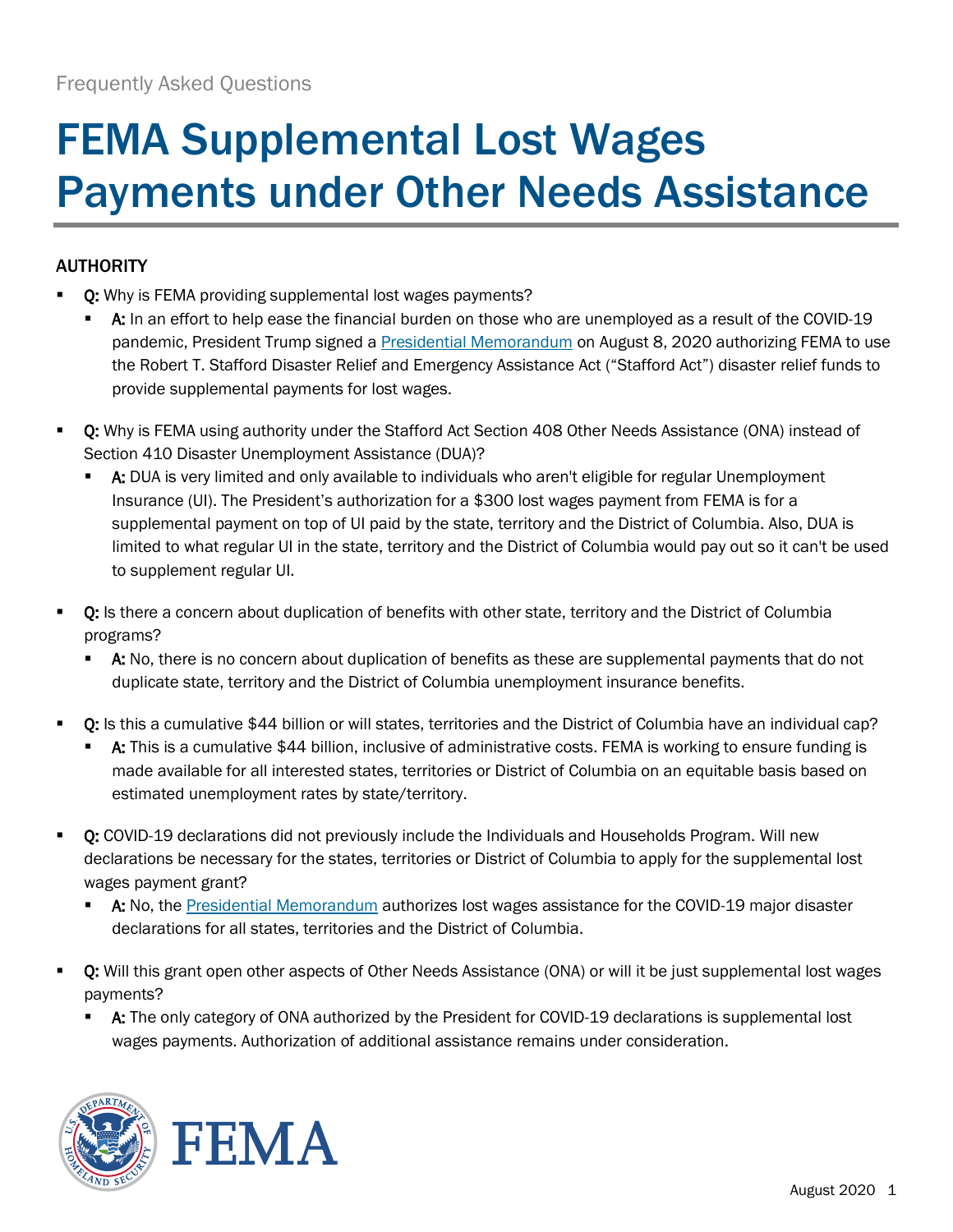# FEMA Supplemental Lost Wages Payments under Other Needs Assistance

## AUTHORITY

- Q: Why is FEMA providing supplemental lost wages payments?
	- A: In an effort to help ease the financial burden on those who are unemployed as a result of the COVID-19 pandemic, President Trump signed [a Presidential Memorandum](https://www.whitehouse.gov/presidential-actions/memorandum-authorizing-needs-assistance-program-major-disaster-declarations-related-coronavirus-disease-2019/) on August 8, 2020 authorizing FEMA to use the Robert T. Stafford Disaster Relief and Emergency Assistance Act ("Stafford Act") disaster relief funds to provide supplemental payments for lost wages.
- O: Why is FEMA using authority under the Stafford Act Section 408 Other Needs Assistance (ONA) instead of Section 410 Disaster Unemployment Assistance (DUA)?
	- A: DUA is very limited and only available to individuals who aren't eligible for regular Unemployment Insurance (UI). The President's authorization for a \$300 lost wages payment from FEMA is for a supplemental payment on top of UI paid by the state, territory and the District of Columbia. Also, DUA is limited to what regular UI in the state, territory and the District of Columbia would pay out so it can't be used to supplement regular UI.
- Q: Is there a concern about duplication of benefits with other state, territory and the District of Columbia programs?
	- **A:** No, there is no concern about duplication of benefits as these are supplemental payments that do not duplicate state, territory and the District of Columbia unemployment insurance benefits.
- **Q:** Is this a cumulative \$44 billion or will states, territories and the District of Columbia have an individual cap?
	- A: This is a cumulative \$44 billion, inclusive of administrative costs. FEMA is working to ensure funding is made available for all interested states, territories or District of Columbia on an equitable basis based on estimated unemployment rates by state/territory.
- Q: COVID-19 declarations did not previously include the Individuals and Households Program. Will new declarations be necessary for the states, territories or District of Columbia to apply for the supplemental lost wages payment grant?
	- A: No, the [Presidential Memorandum](https://www.whitehouse.gov/presidential-actions/memorandum-authorizing-needs-assistance-program-major-disaster-declarations-related-coronavirus-disease-2019/) authorizes lost wages assistance for the COVID-19 major disaster declarations for all states, territories and the District of Columbia.
- O: Will this grant open other aspects of Other Needs Assistance (ONA) or will it be just supplemental lost wages payments?
	- A: The only category of ONA authorized by the President for COVID-19 declarations is supplemental lost wages payments. Authorization of additional assistance remains under consideration.



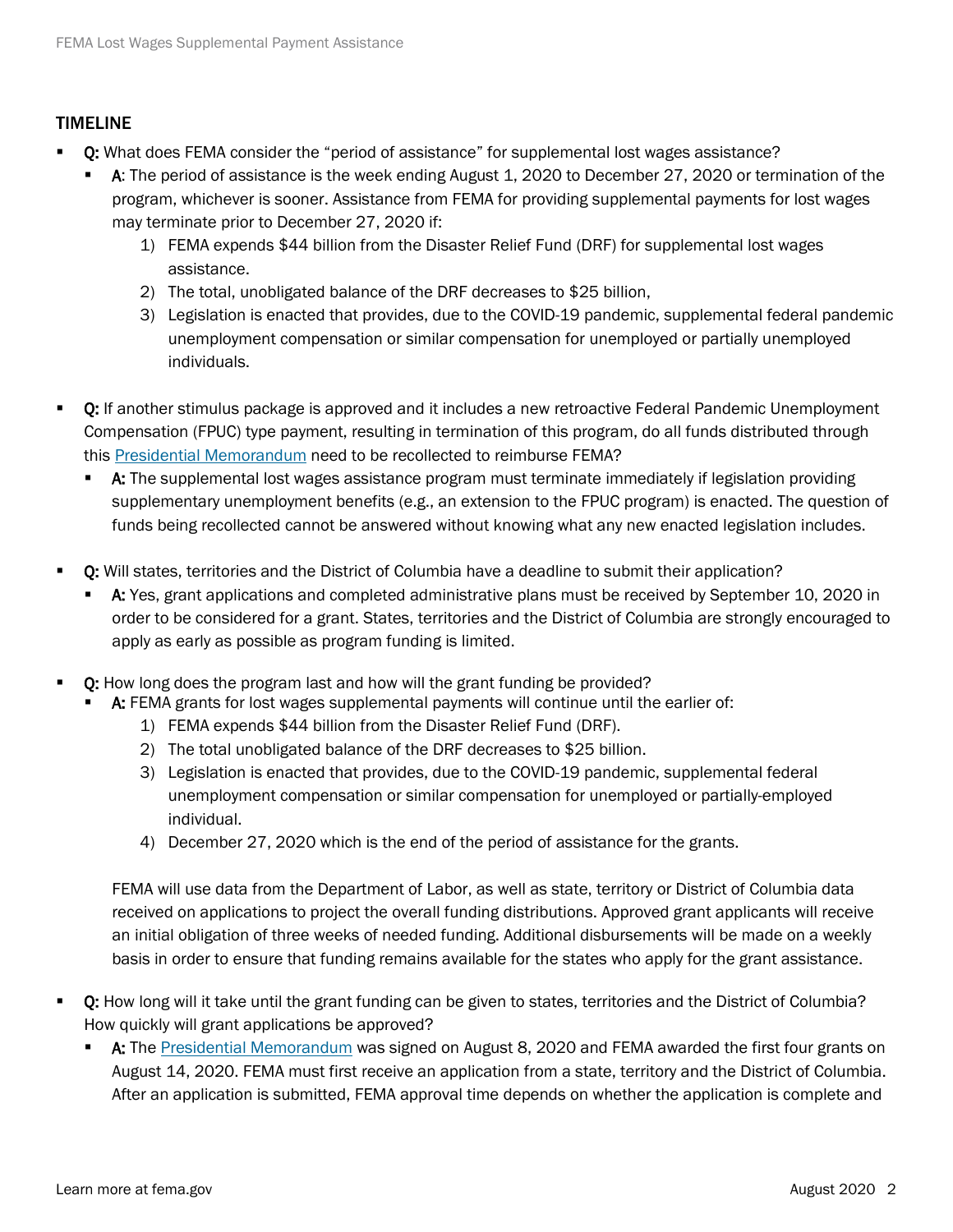#### TIMELINE

- Q: What does FEMA consider the "period of assistance" for supplemental lost wages assistance?
	- A: The period of assistance is the week ending August 1, 2020 to December 27, 2020 or termination of the program, whichever is sooner. Assistance from FEMA for providing supplemental payments for lost wages may terminate prior to December 27, 2020 if:
		- 1) FEMA expends \$44 billion from the Disaster Relief Fund (DRF) for supplemental lost wages assistance.
		- 2) The total, unobligated balance of the DRF decreases to \$25 billion,
		- 3) Legislation is enacted that provides, due to the COVID-19 pandemic, supplemental federal pandemic unemployment compensation or similar compensation for unemployed or partially unemployed individuals.
- Q: If another stimulus package is approved and it includes a new retroactive Federal Pandemic Unemployment Compensation (FPUC) type payment, resulting in termination of this program, do all funds distributed through this [Presidential Memorandum](https://www.whitehouse.gov/presidential-actions/memorandum-authorizing-needs-assistance-program-major-disaster-declarations-related-coronavirus-disease-2019/) need to be recollected to reimburse FEMA?
	- A: The supplemental lost wages assistance program must terminate immediately if legislation providing supplementary unemployment benefits (e.g., an extension to the FPUC program) is enacted. The question of funds being recollected cannot be answered without knowing what any new enacted legislation includes.
- Q: Will states, territories and the District of Columbia have a deadline to submit their application?
	- A: Yes, grant applications and completed administrative plans must be received by September 10, 2020 in order to be considered for a grant. States, territories and the District of Columbia are strongly encouraged to apply as early as possible as program funding is limited.
- Q: How long does the program last and how will the grant funding be provided?
	- A: FEMA grants for lost wages supplemental payments will continue until the earlier of:
		- 1) FEMA expends \$44 billion from the Disaster Relief Fund (DRF).
		- 2) The total unobligated balance of the DRF decreases to \$25 billion.
		- 3) Legislation is enacted that provides, due to the COVID-19 pandemic, supplemental federal unemployment compensation or similar compensation for unemployed or partially-employed individual.
		- 4) December 27, 2020 which is the end of the period of assistance for the grants.

FEMA will use data from the Department of Labor, as well as state, territory or District of Columbia data received on applications to project the overall funding distributions. Approved grant applicants will receive an initial obligation of three weeks of needed funding. Additional disbursements will be made on a weekly basis in order to ensure that funding remains available for the states who apply for the grant assistance.

- Q: How long will it take until the grant funding can be given to states, territories and the District of Columbia? How quickly will grant applications be approved?
	- **A:** The [Presidential Memorandum](https://www.whitehouse.gov/presidential-actions/memorandum-authorizing-needs-assistance-program-major-disaster-declarations-related-coronavirus-disease-2019/) was signed on August 8, 2020 and FEMA awarded the first four grants on August 14, 2020. FEMA must first receive an application from a state, territory and the District of Columbia. After an application is submitted, FEMA approval time depends on whether the application is complete and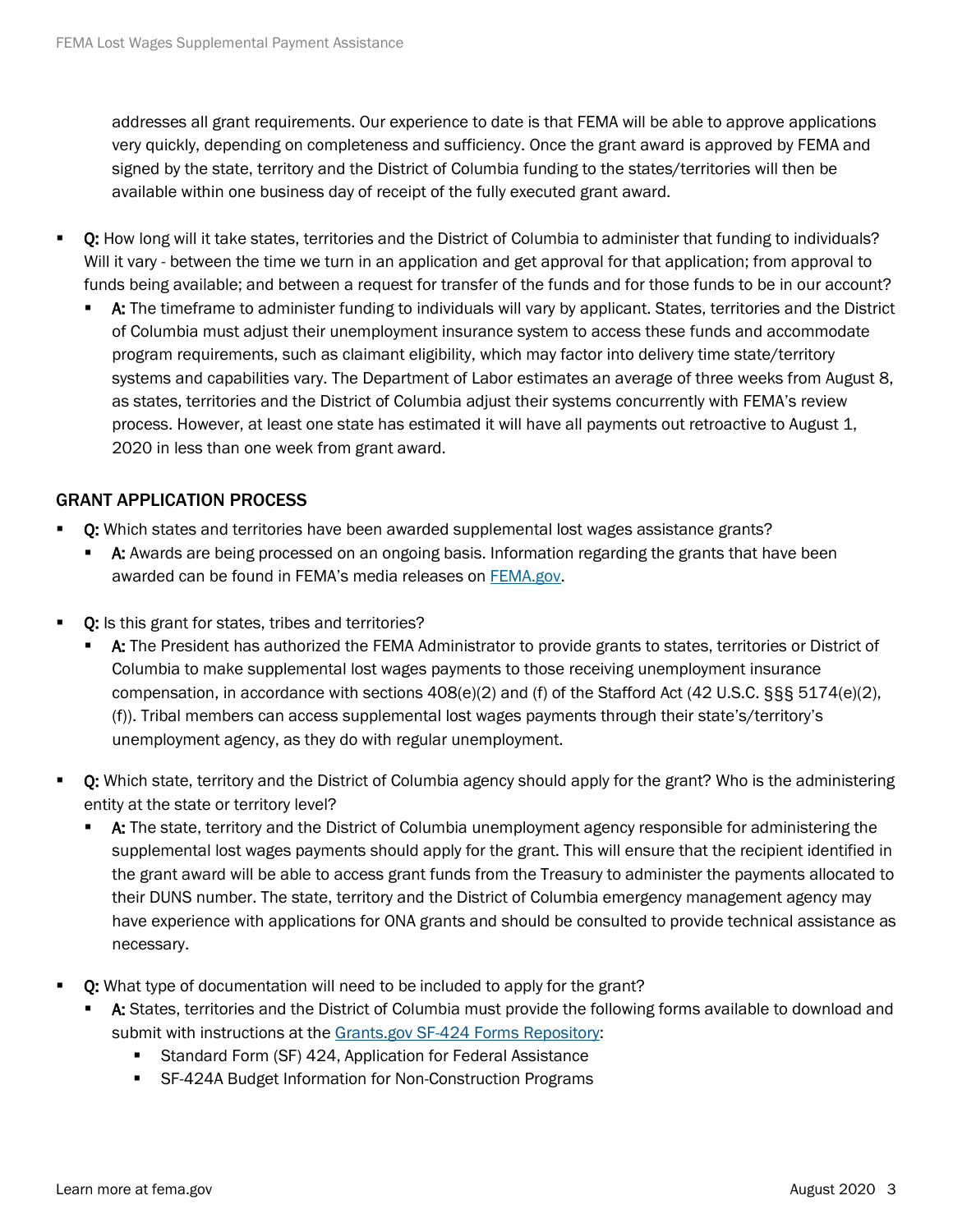addresses all grant requirements. Our experience to date is that FEMA will be able to approve applications very quickly, depending on completeness and sufficiency. Once the grant award is approved by FEMA and signed by the state, territory and the District of Columbia funding to the states/territories will then be available within one business day of receipt of the fully executed grant award.

- Q: How long will it take states, territories and the District of Columbia to administer that funding to individuals? Will it vary - between the time we turn in an application and get approval for that application; from approval to funds being available; and between a request for transfer of the funds and for those funds to be in our account?
	- A: The timeframe to administer funding to individuals will vary by applicant. States, territories and the District of Columbia must adjust their unemployment insurance system to access these funds and accommodate program requirements, such as claimant eligibility, which may factor into delivery time state/territory systems and capabilities vary. The Department of Labor estimates an average of three weeks from August 8, as states, territories and the District of Columbia adjust their systems concurrently with FEMA's review process. However, at least one state has estimated it will have all payments out retroactive to August 1, 2020 in less than one week from grant award.

#### GRANT APPLICATION PROCESS

- Q: Which states and territories have been awarded supplemental lost wages assistance grants?
	- **A:** Awards are being processed on an ongoing basis. Information regarding the grants that have been awarded can be found in FEMA's media releases on [FEMA.gov.](https://www.fema.gov/disasters/coronavirus/governments/supplemental-payments-lost-wages)
- Q: Is this grant for states, tribes and territories?
	- A: The President has authorized the FEMA Administrator to provide grants to states, territories or District of Columbia to make supplemental lost wages payments to those receiving unemployment insurance compensation, in accordance with sections  $408(e)(2)$  and (f) of the Stafford Act (42 U.S.C. §§§ 5174(e)(2), (f)). Tribal members can access supplemental lost wages payments through their state's/territory's unemployment agency, as they do with regular unemployment.
- Q: Which state, territory and the District of Columbia agency should apply for the grant? Who is the administering entity at the state or territory level?
	- **A:** The state, territory and the District of Columbia unemployment agency responsible for administering the supplemental lost wages payments should apply for the grant. This will ensure that the recipient identified in the grant award will be able to access grant funds from the Treasury to administer the payments allocated to their DUNS number. The state, territory and the District of Columbia emergency management agency may have experience with applications for ONA grants and should be consulted to provide technical assistance as necessary.
- Q: What type of documentation will need to be included to apply for the grant?
	- A: States, territories and the District of Columbia must provide the following forms available to download and submit with instructions at the [Grants.gov SF-424 Forms Repository:](https://www.grants.gov/web/grants/forms/sf-424-family.html)
		- **Standard Form (SF) 424, Application for Federal Assistance**
		- SF-424A Budget Information for Non-Construction Programs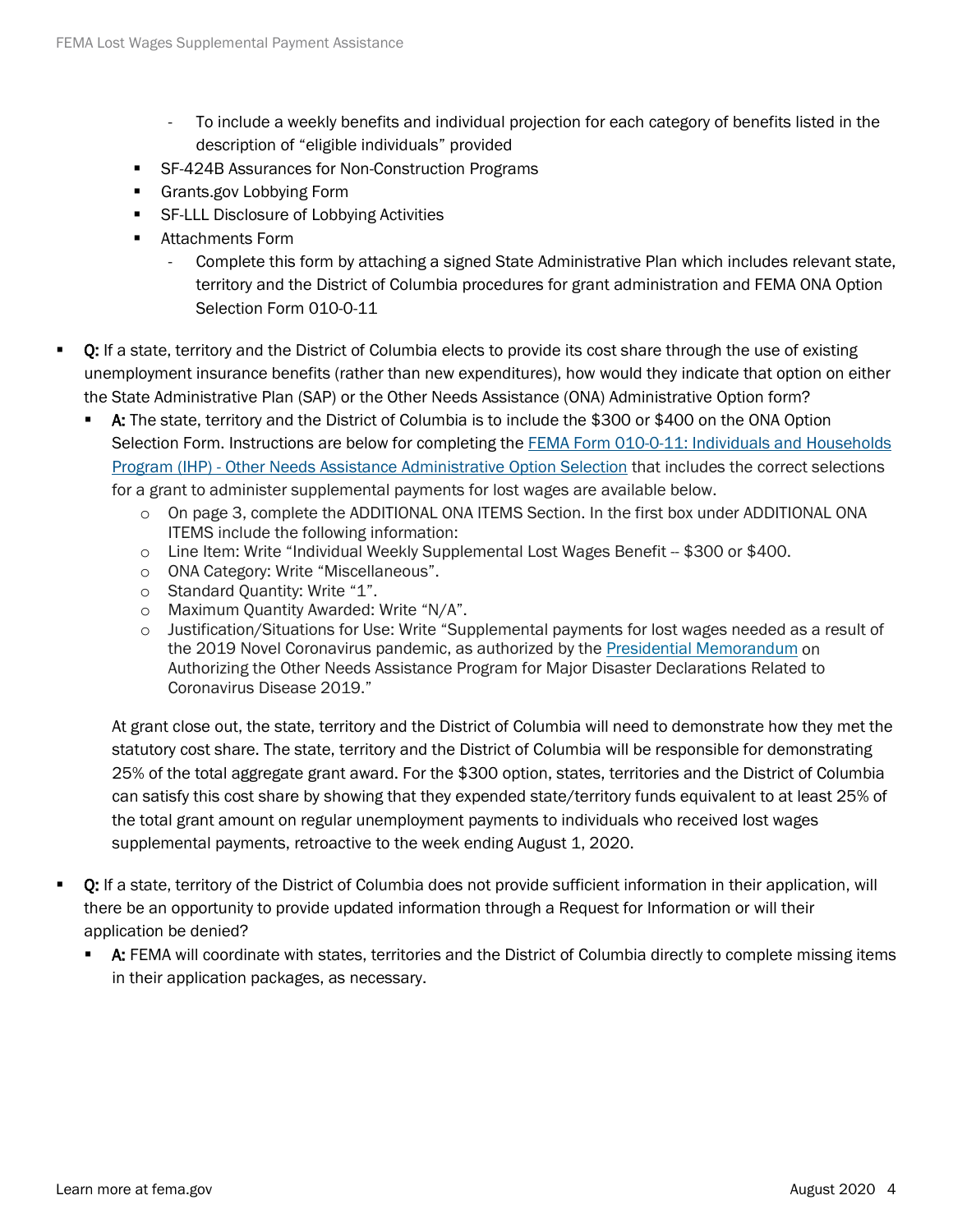- To include a weekly benefits and individual projection for each category of benefits listed in the description of "eligible individuals" provided
- SF-424B Assurances for Non-Construction Programs
- Grants.gov Lobbying Form
- SF-LLL Disclosure of Lobbying Activities
- **Attachments Form** 
	- Complete this form by attaching a signed State Administrative Plan which includes relevant state, territory and the District of Columbia procedures for grant administration and FEMA ONA Option Selection Form 010-0-11
- Q: If a state, territory and the District of Columbia elects to provide its cost share through the use of existing unemployment insurance benefits (rather than new expenditures), how would they indicate that option on either the State Administrative Plan (SAP) or the Other Needs Assistance (ONA) Administrative Option form?
	- A: The state, territory and the District of Columbia is to include the \$300 or \$400 on the ONA Option Selection Form. Instructions are below for completing the **FEMA Form 010-0-11: Individuals and Households** Program (IHP) - [Other Needs Assistance Administrative Option Selection](https://www.fema.gov/media-library-data/1544535263707-b64302090b362e43b9acec0517150836/Individuals_and_Households_ONA_Administrative_Option_(FEMA_Form_010-0-11).pdf) that includes the correct selections for a grant to administer supplemental payments for lost wages are available below.
		- o On page 3, complete the ADDITIONAL ONA ITEMS Section. In the first box under ADDITIONAL ONA ITEMS include the following information:
		- $\circ$  Line Item: Write "Individual Weekly Supplemental Lost Wages Benefit  $-$  \$300 or \$400.
		- o ONA Category: Write "Miscellaneous".
		- o Standard Quantity: Write "1".
		- o Maximum Quantity Awarded: Write "N/A".
		- o Justification/Situations for Use: Write "Supplemental payments for lost wages needed as a result of the 2019 Novel Coronavirus pandemic, as authorized by the [Presidential Memorandum](https://www.whitehouse.gov/presidential-actions/memorandum-authorizing-needs-assistance-program-major-disaster-declarations-related-coronavirus-disease-2019/) on Authorizing the Other Needs Assistance Program for Major Disaster Declarations Related to Coronavirus Disease 2019."

At grant close out, the state, territory and the District of Columbia will need to demonstrate how they met the statutory cost share. The state, territory and the District of Columbia will be responsible for demonstrating 25% of the total aggregate grant award. For the \$300 option, states, territories and the District of Columbia can satisfy this cost share by showing that they expended state/territory funds equivalent to at least 25% of the total grant amount on regular unemployment payments to individuals who received lost wages supplemental payments, retroactive to the week ending August 1, 2020.

- Q: If a state, territory of the District of Columbia does not provide sufficient information in their application, will there be an opportunity to provide updated information through a Request for Information or will their application be denied?
	- A: FEMA will coordinate with states, territories and the District of Columbia directly to complete missing items in their application packages, as necessary.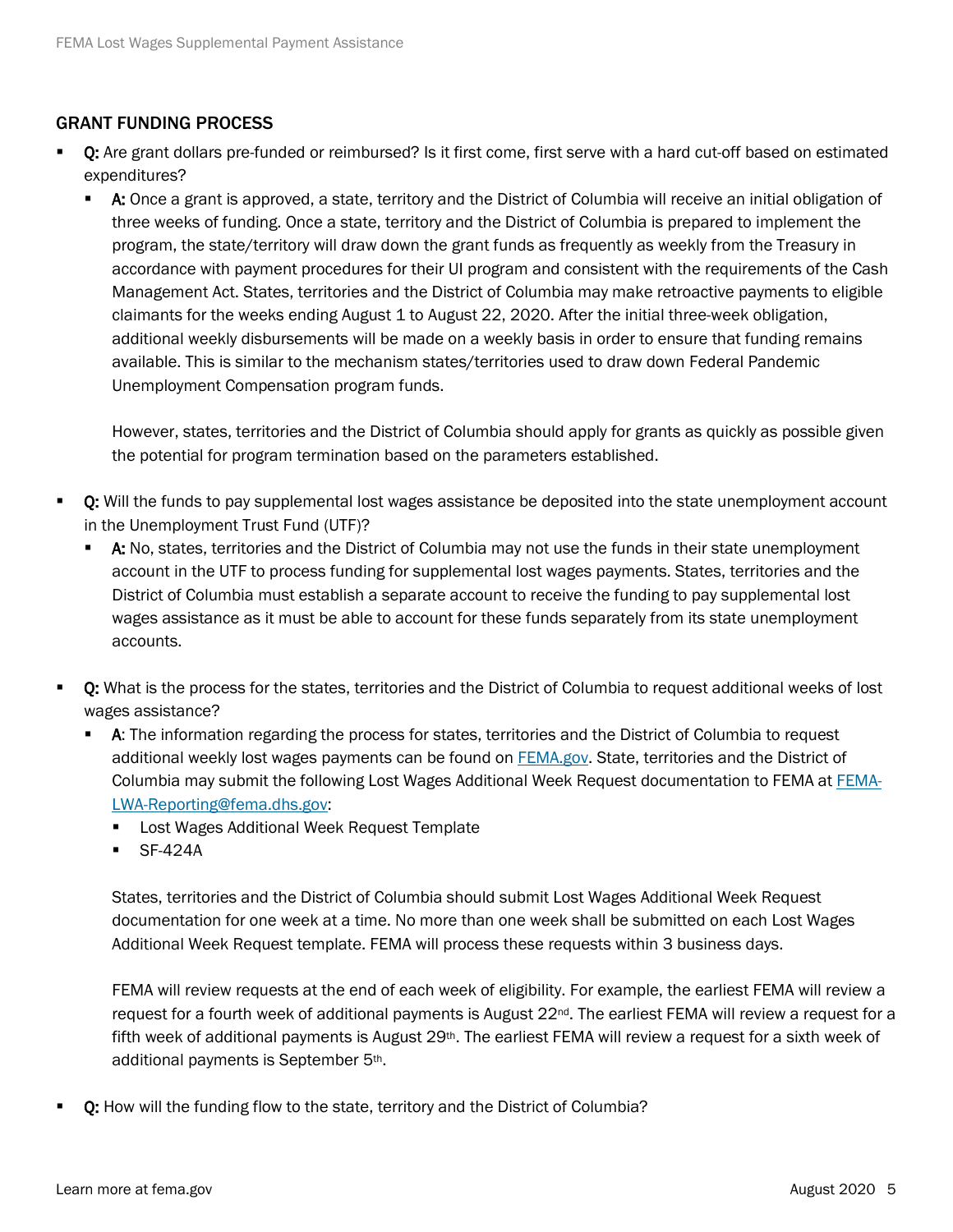#### GRANT FUNDING PROCESS

- Q: Are grant dollars pre-funded or reimbursed? Is it first come, first serve with a hard cut-off based on estimated expenditures?
	- **A:** Once a grant is approved, a state, territory and the District of Columbia will receive an initial obligation of three weeks of funding. Once a state, territory and the District of Columbia is prepared to implement the program, the state/territory will draw down the grant funds as frequently as weekly from the Treasury in accordance with payment procedures for their UI program and consistent with the requirements of the Cash Management Act. States, territories and the District of Columbia may make retroactive payments to eligible claimants for the weeks ending August 1 to August 22, 2020. After the initial three-week obligation, additional weekly disbursements will be made on a weekly basis in order to ensure that funding remains available. This is similar to the mechanism states/territories used to draw down Federal Pandemic Unemployment Compensation program funds.

However, states, territories and the District of Columbia should apply for grants as quickly as possible given the potential for program termination based on the parameters established.

- Q: Will the funds to pay supplemental lost wages assistance be deposited into the state unemployment account in the Unemployment Trust Fund (UTF)?
	- A: No, states, territories and the District of Columbia may not use the funds in their state unemployment account in the UTF to process funding for supplemental lost wages payments. States, territories and the District of Columbia must establish a separate account to receive the funding to pay supplemental lost wages assistance as it must be able to account for these funds separately from its state unemployment accounts.
- Q: What is the process for the states, territories and the District of Columbia to request additional weeks of lost wages assistance?
	- **A:** The information regarding the process for states, territories and the District of Columbia to request additional weekly lost wages payments can be found on [FEMA.gov.](https://www.fema.gov/disasters/coronavirus/governments/supplemental-payments-lost-wages) State, territories and the District of Columbia may submit the following Lost Wages Additional Week Request documentation to FEMA a[t FEMA-](mailto:FEMA-LWA-Reporting@fema.dhs.gov)[LWA-Reporting@fema.dhs.gov:](mailto:FEMA-LWA-Reporting@fema.dhs.gov)
		- **EXEC** Lost Wages Additional Week Request Template
		- $\blacksquare$  SF-424A

States, territories and the District of Columbia should submit Lost Wages Additional Week Request documentation for one week at a time. No more than one week shall be submitted on each Lost Wages Additional Week Request template. FEMA will process these requests within 3 business days.

FEMA will review requests at the end of each week of eligibility. For example, the earliest FEMA will review a request for a fourth week of additional payments is August 22<sup>nd</sup>. The earliest FEMA will review a request for a fifth week of additional payments is August 29<sup>th</sup>. The earliest FEMA will review a request for a sixth week of additional payments is September 5th.

Q: How will the funding flow to the state, territory and the District of Columbia?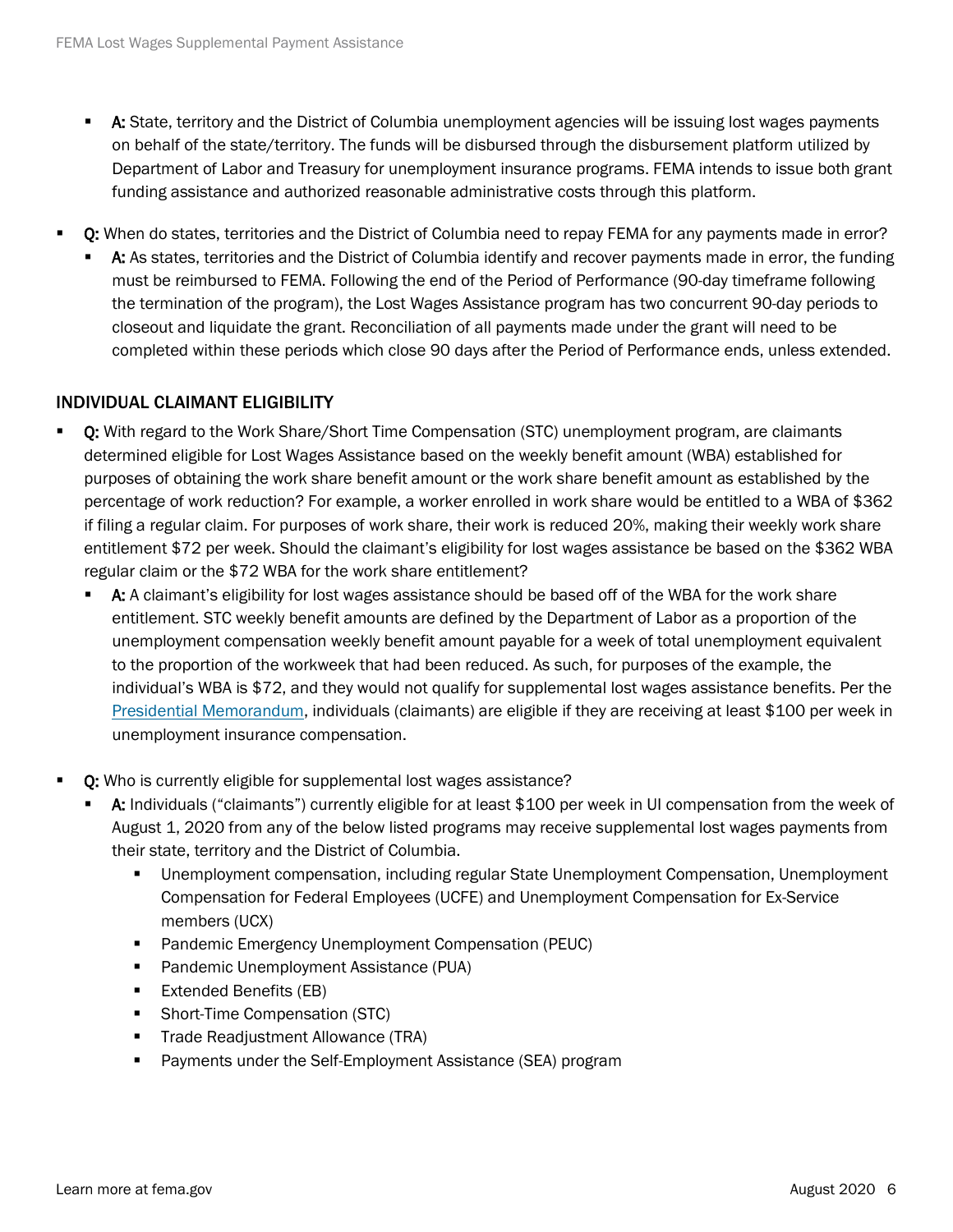- A: State, territory and the District of Columbia unemployment agencies will be issuing lost wages payments on behalf of the state/territory. The funds will be disbursed through the disbursement platform utilized by Department of Labor and Treasury for unemployment insurance programs. FEMA intends to issue both grant funding assistance and authorized reasonable administrative costs through this platform.
- Q: When do states, territories and the District of Columbia need to repay FEMA for any payments made in error?
	- A: As states, territories and the District of Columbia identify and recover payments made in error, the funding must be reimbursed to FEMA. Following the end of the Period of Performance (90-day timeframe following the termination of the program), the Lost Wages Assistance program has two concurrent 90-day periods to closeout and liquidate the grant. Reconciliation of all payments made under the grant will need to be completed within these periods which close 90 days after the Period of Performance ends, unless extended.

## INDIVIDUAL CLAIMANT ELIGIBILITY

- Q: With regard to the Work Share/Short Time Compensation (STC) unemployment program, are claimants determined eligible for Lost Wages Assistance based on the weekly benefit amount (WBA) established for purposes of obtaining the work share benefit amount or the work share benefit amount as established by the percentage of work reduction? For example, a worker enrolled in work share would be entitled to a WBA of \$362 if filing a regular claim. For purposes of work share, their work is reduced 20%, making their weekly work share entitlement \$72 per week. Should the claimant's eligibility for lost wages assistance be based on the \$362 WBA regular claim or the \$72 WBA for the work share entitlement?
	- A: A claimant's eligibility for lost wages assistance should be based off of the WBA for the work share entitlement. STC weekly benefit amounts are defined by the Department of Labor as a proportion of the unemployment compensation weekly benefit amount payable for a week of total unemployment equivalent to the proportion of the workweek that had been reduced. As such, for purposes of the example, the individual's WBA is \$72, and they would not qualify for supplemental lost wages assistance benefits. Per the [Presidential Memorandum,](https://www.whitehouse.gov/presidential-actions/memorandum-authorizing-needs-assistance-program-major-disaster-declarations-related-coronavirus-disease-2019/) individuals (claimants) are eligible if they are receiving at least \$100 per week in unemployment insurance compensation.
- Q: Who is currently eligible for supplemental lost wages assistance?
	- A: Individuals ("claimants") currently eligible for at least \$100 per week in UI compensation from the week of August 1, 2020 from any of the below listed programs may receive supplemental lost wages payments from their state, territory and the District of Columbia.
		- Unemployment compensation, including regular State Unemployment Compensation, Unemployment Compensation for Federal Employees (UCFE) and Unemployment Compensation for Ex-Service members (UCX)
		- **Pandemic Emergency Unemployment Compensation (PEUC)**
		- Pandemic Unemployment Assistance (PUA)
		- Extended Benefits (EB)
		- Short-Time Compensation (STC)
		- **Trade Readjustment Allowance (TRA)**
		- **Payments under the Self-Employment Assistance (SEA) program**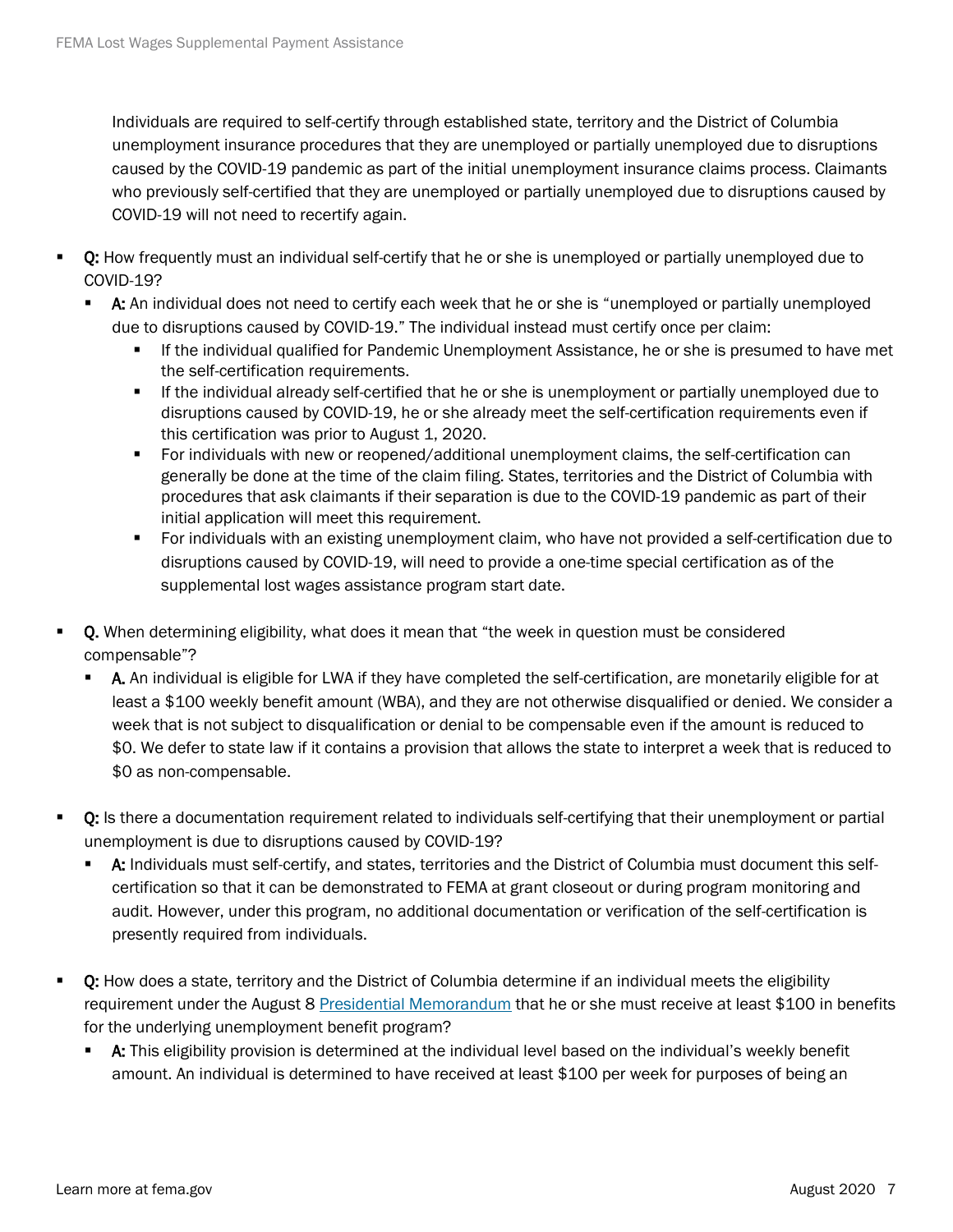Individuals are required to self-certify through established state, territory and the District of Columbia unemployment insurance procedures that they are unemployed or partially unemployed due to disruptions caused by the COVID-19 pandemic as part of the initial unemployment insurance claims process. Claimants who previously self-certified that they are unemployed or partially unemployed due to disruptions caused by COVID-19 will not need to recertify again.

- **Q:** How frequently must an individual self-certify that he or she is unemployed or partially unemployed due to COVID-19?
	- A: An individual does not need to certify each week that he or she is "unemployed or partially unemployed due to disruptions caused by COVID-19." The individual instead must certify once per claim:
		- If the individual qualified for Pandemic Unemployment Assistance, he or she is presumed to have met the self-certification requirements.
		- If the individual already self-certified that he or she is unemployment or partially unemployed due to disruptions caused by COVID-19, he or she already meet the self-certification requirements even if this certification was prior to August 1, 2020.
		- For individuals with new or reopened/additional unemployment claims, the self-certification can generally be done at the time of the claim filing. States, territories and the District of Columbia with procedures that ask claimants if their separation is due to the COVID-19 pandemic as part of their initial application will meet this requirement.
		- For individuals with an existing unemployment claim, who have not provided a self-certification due to disruptions caused by COVID-19, will need to provide a one-time special certification as of the supplemental lost wages assistance program start date.
- Q. When determining eligibility, what does it mean that "the week in question must be considered compensable"?
	- A. An individual is eligible for LWA if they have completed the self-certification, are monetarily eligible for at least a \$100 weekly benefit amount (WBA), and they are not otherwise disqualified or denied. We consider a week that is not subject to disqualification or denial to be compensable even if the amount is reduced to \$0. We defer to state law if it contains a provision that allows the state to interpret a week that is reduced to \$0 as non-compensable.
- Q: Is there a documentation requirement related to individuals self-certifying that their unemployment or partial unemployment is due to disruptions caused by COVID-19?
	- A: Individuals must self-certify, and states, territories and the District of Columbia must document this selfcertification so that it can be demonstrated to FEMA at grant closeout or during program monitoring and audit. However, under this program, no additional documentation or verification of the self-certification is presently required from individuals.
- **Q:** How does a state, territory and the District of Columbia determine if an individual meets the eligibility requirement under the August 8 [Presidential Memorandum](https://www.whitehouse.gov/presidential-actions/memorandum-authorizing-needs-assistance-program-major-disaster-declarations-related-coronavirus-disease-2019/) that he or she must receive at least \$100 in benefits for the underlying unemployment benefit program?
	- A: This eligibility provision is determined at the individual level based on the individual's weekly benefit amount. An individual is determined to have received at least \$100 per week for purposes of being an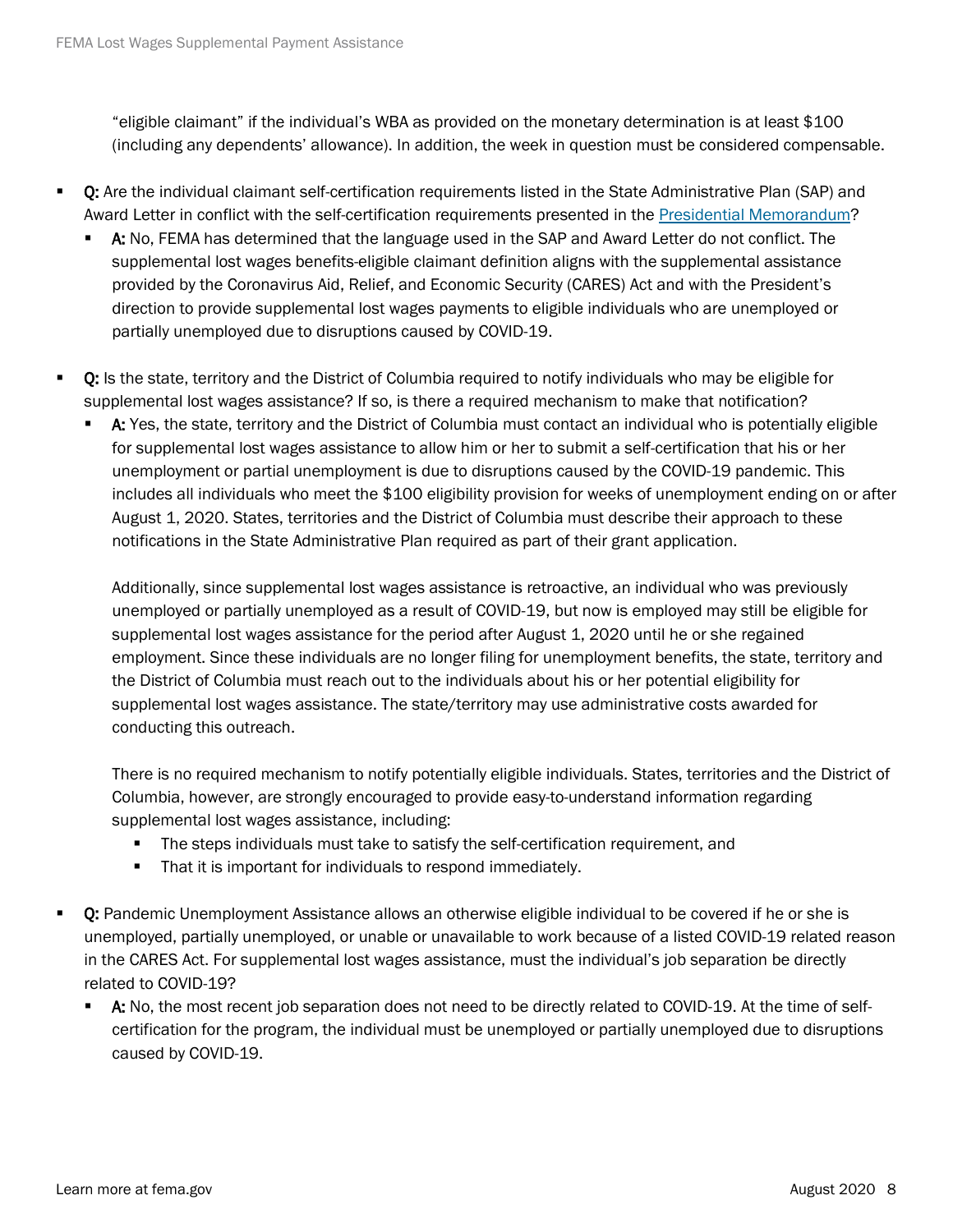"eligible claimant" if the individual's WBA as provided on the monetary determination is at least \$100 (including any dependents' allowance). In addition, the week in question must be considered compensable.

- Q: Are the individual claimant self-certification requirements listed in the State Administrative Plan (SAP) and Award Letter in conflict with the self-certification requirements presented in the [Presidential Memorandum?](https://www.whitehouse.gov/presidential-actions/memorandum-authorizing-needs-assistance-program-major-disaster-declarations-related-coronavirus-disease-2019/)
	- A: No, FEMA has determined that the language used in the SAP and Award Letter do not conflict. The supplemental lost wages benefits-eligible claimant definition aligns with the supplemental assistance provided by the Coronavirus Aid, Relief, and Economic Security (CARES) Act and with the President's direction to provide supplemental lost wages payments to eligible individuals who are unemployed or partially unemployed due to disruptions caused by COVID-19.
- Q: Is the state, territory and the District of Columbia required to notify individuals who may be eligible for supplemental lost wages assistance? If so, is there a required mechanism to make that notification?
	- A: Yes, the state, territory and the District of Columbia must contact an individual who is potentially eligible for supplemental lost wages assistance to allow him or her to submit a self-certification that his or her unemployment or partial unemployment is due to disruptions caused by the COVID-19 pandemic. This includes all individuals who meet the \$100 eligibility provision for weeks of unemployment ending on or after August 1, 2020. States, territories and the District of Columbia must describe their approach to these notifications in the State Administrative Plan required as part of their grant application.

Additionally, since supplemental lost wages assistance is retroactive, an individual who was previously unemployed or partially unemployed as a result of COVID-19, but now is employed may still be eligible for supplemental lost wages assistance for the period after August 1, 2020 until he or she regained employment. Since these individuals are no longer filing for unemployment benefits, the state, territory and the District of Columbia must reach out to the individuals about his or her potential eligibility for supplemental lost wages assistance. The state/territory may use administrative costs awarded for conducting this outreach.

There is no required mechanism to notify potentially eligible individuals. States, territories and the District of Columbia, however, are strongly encouraged to provide easy-to-understand information regarding supplemental lost wages assistance, including:

- The steps individuals must take to satisfy the self-certification requirement, and
- **That it is important for individuals to respond immediately.**
- Q: Pandemic Unemployment Assistance allows an otherwise eligible individual to be covered if he or she is unemployed, partially unemployed, or unable or unavailable to work because of a listed COVID-19 related reason in the CARES Act. For supplemental lost wages assistance, must the individual's job separation be directly related to COVID-19?
	- A: No, the most recent job separation does not need to be directly related to COVID-19. At the time of selfcertification for the program, the individual must be unemployed or partially unemployed due to disruptions caused by COVID-19.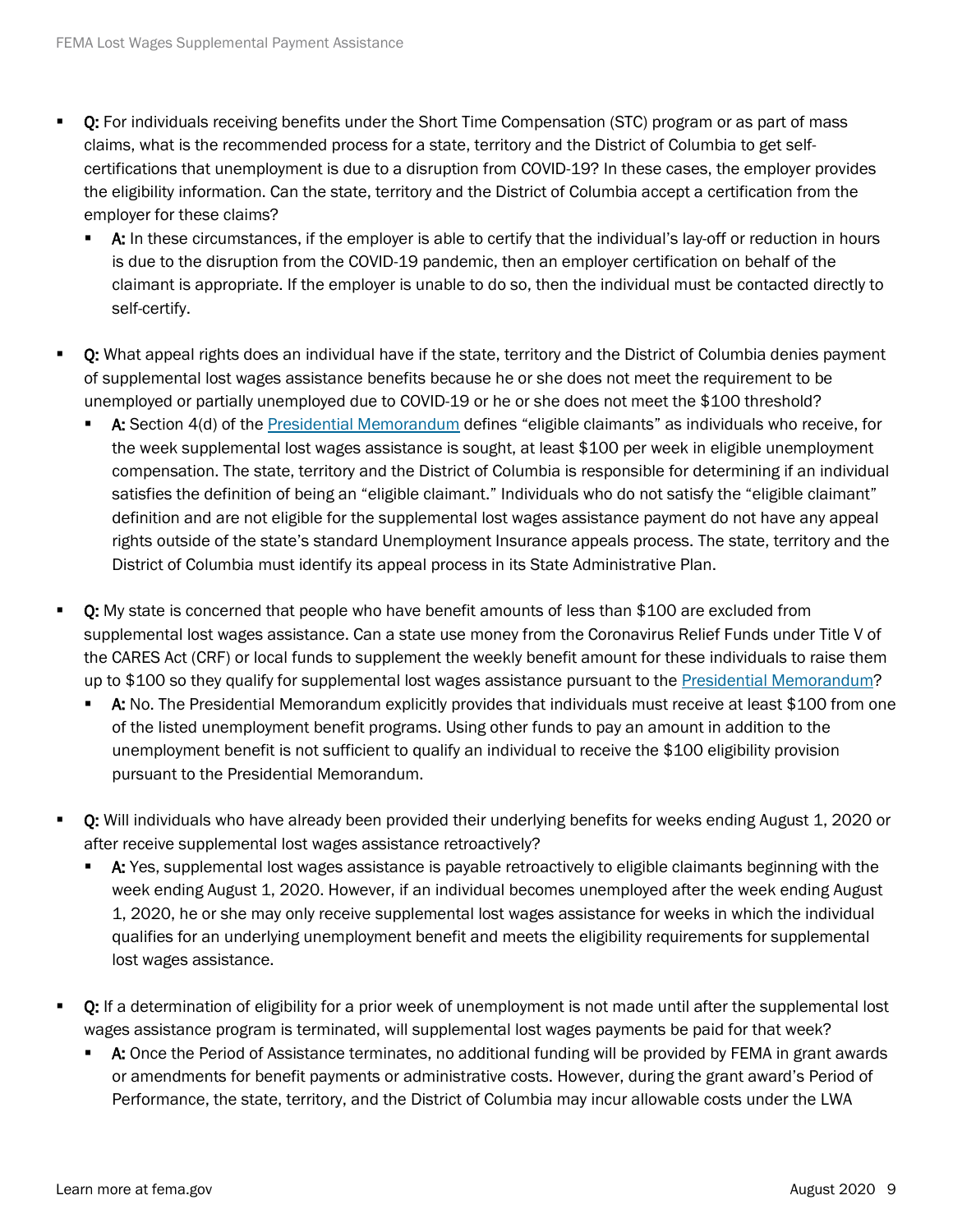- **D:** For individuals receiving benefits under the Short Time Compensation (STC) program or as part of mass claims, what is the recommended process for a state, territory and the District of Columbia to get selfcertifications that unemployment is due to a disruption from COVID-19? In these cases, the employer provides the eligibility information. Can the state, territory and the District of Columbia accept a certification from the employer for these claims?
	- **A:** In these circumstances, if the employer is able to certify that the individual's lay-off or reduction in hours is due to the disruption from the COVID-19 pandemic, then an employer certification on behalf of the claimant is appropriate. If the employer is unable to do so, then the individual must be contacted directly to self-certify.
- Q: What appeal rights does an individual have if the state, territory and the District of Columbia denies payment of supplemental lost wages assistance benefits because he or she does not meet the requirement to be unemployed or partially unemployed due to COVID-19 or he or she does not meet the \$100 threshold?
	- A: Section 4(d) of the [Presidential Memorandum](https://www.whitehouse.gov/presidential-actions/memorandum-authorizing-needs-assistance-program-major-disaster-declarations-related-coronavirus-disease-2019/) defines "eligible claimants" as individuals who receive, for the week supplemental lost wages assistance is sought, at least \$100 per week in eligible unemployment compensation. The state, territory and the District of Columbia is responsible for determining if an individual satisfies the definition of being an "eligible claimant." Individuals who do not satisfy the "eligible claimant" definition and are not eligible for the supplemental lost wages assistance payment do not have any appeal rights outside of the state's standard Unemployment Insurance appeals process. The state, territory and the District of Columbia must identify its appeal process in its State Administrative Plan.
- Q: My state is concerned that people who have benefit amounts of less than \$100 are excluded from supplemental lost wages assistance. Can a state use money from the Coronavirus Relief Funds under Title V of the CARES Act (CRF) or local funds to supplement the weekly benefit amount for these individuals to raise them up to \$100 so they qualify for supplemental lost wages assistance pursuant to the [Presidential Memorandum?](https://www.whitehouse.gov/presidential-actions/memorandum-authorizing-needs-assistance-program-major-disaster-declarations-related-coronavirus-disease-2019/)
	- A: No. The Presidential Memorandum explicitly provides that individuals must receive at least \$100 from one of the listed unemployment benefit programs. Using other funds to pay an amount in addition to the unemployment benefit is not sufficient to qualify an individual to receive the \$100 eligibility provision pursuant to the Presidential Memorandum.
- Q: Will individuals who have already been provided their underlying benefits for weeks ending August 1, 2020 or after receive supplemental lost wages assistance retroactively?
	- A: Yes, supplemental lost wages assistance is payable retroactively to eligible claimants beginning with the week ending August 1, 2020. However, if an individual becomes unemployed after the week ending August 1, 2020, he or she may only receive supplemental lost wages assistance for weeks in which the individual qualifies for an underlying unemployment benefit and meets the eligibility requirements for supplemental lost wages assistance.
- Q: If a determination of eligibility for a prior week of unemployment is not made until after the supplemental lost wages assistance program is terminated, will supplemental lost wages payments be paid for that week?
	- **A:** Once the Period of Assistance terminates, no additional funding will be provided by FEMA in grant awards or amendments for benefit payments or administrative costs. However, during the grant award's Period of Performance, the state, territory, and the District of Columbia may incur allowable costs under the LWA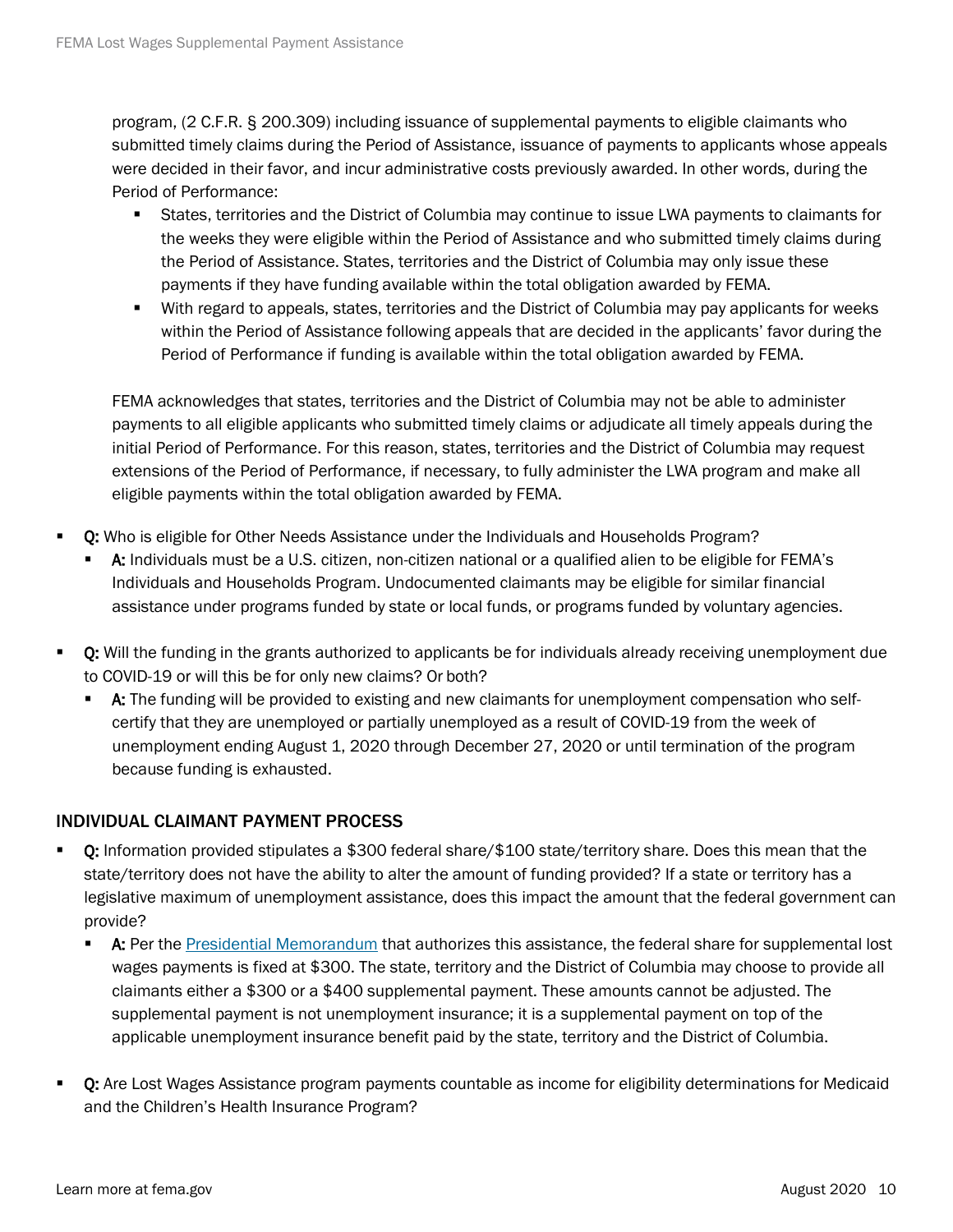program, (2 C.F.R. § 200.309) including issuance of supplemental payments to eligible claimants who submitted timely claims during the Period of Assistance, issuance of payments to applicants whose appeals were decided in their favor, and incur administrative costs previously awarded. In other words, during the Period of Performance:

- States, territories and the District of Columbia may continue to issue LWA payments to claimants for the weeks they were eligible within the Period of Assistance and who submitted timely claims during the Period of Assistance. States, territories and the District of Columbia may only issue these payments if they have funding available within the total obligation awarded by FEMA.
- With regard to appeals, states, territories and the District of Columbia may pay applicants for weeks within the Period of Assistance following appeals that are decided in the applicants' favor during the Period of Performance if funding is available within the total obligation awarded by FEMA.

FEMA acknowledges that states, territories and the District of Columbia may not be able to administer payments to all eligible applicants who submitted timely claims or adjudicate all timely appeals during the initial Period of Performance. For this reason, states, territories and the District of Columbia may request extensions of the Period of Performance, if necessary, to fully administer the LWA program and make all eligible payments within the total obligation awarded by FEMA.

- Q: Who is eligible for Other Needs Assistance under the Individuals and Households Program?
	- A: Individuals must be a U.S. citizen, non-citizen national or a qualified alien to be eligible for FEMA's Individuals and Households Program. Undocumented claimants may be eligible for similar financial assistance under programs funded by state or local funds, or programs funded by voluntary agencies.
- **D:** Will the funding in the grants authorized to applicants be for individuals already receiving unemployment due to COVID-19 or will this be for only new claims? Or both?
	- **A:** The funding will be provided to existing and new claimants for unemployment compensation who selfcertify that they are unemployed or partially unemployed as a result of COVID-19 from the week of unemployment ending August 1, 2020 through December 27, 2020 or until termination of the program because funding is exhausted.

#### INDIVIDUAL CLAIMANT PAYMENT PROCESS

- Q: Information provided stipulates a \$300 federal share/\$100 state/territory share. Does this mean that the state/territory does not have the ability to alter the amount of funding provided? If a state or territory has a legislative maximum of unemployment assistance, does this impact the amount that the federal government can provide?
	- **A:** Per the [Presidential Memorandum](https://www.whitehouse.gov/presidential-actions/memorandum-authorizing-needs-assistance-program-major-disaster-declarations-related-coronavirus-disease-2019/) that authorizes this assistance, the federal share for supplemental lost wages payments is fixed at \$300. The state, territory and the District of Columbia may choose to provide all claimants either a \$300 or a \$400 supplemental payment. These amounts cannot be adjusted. The supplemental payment is not unemployment insurance; it is a supplemental payment on top of the applicable unemployment insurance benefit paid by the state, territory and the District of Columbia.
- Q: Are Lost Wages Assistance program payments countable as income for eligibility determinations for Medicaid and the Children's Health Insurance Program?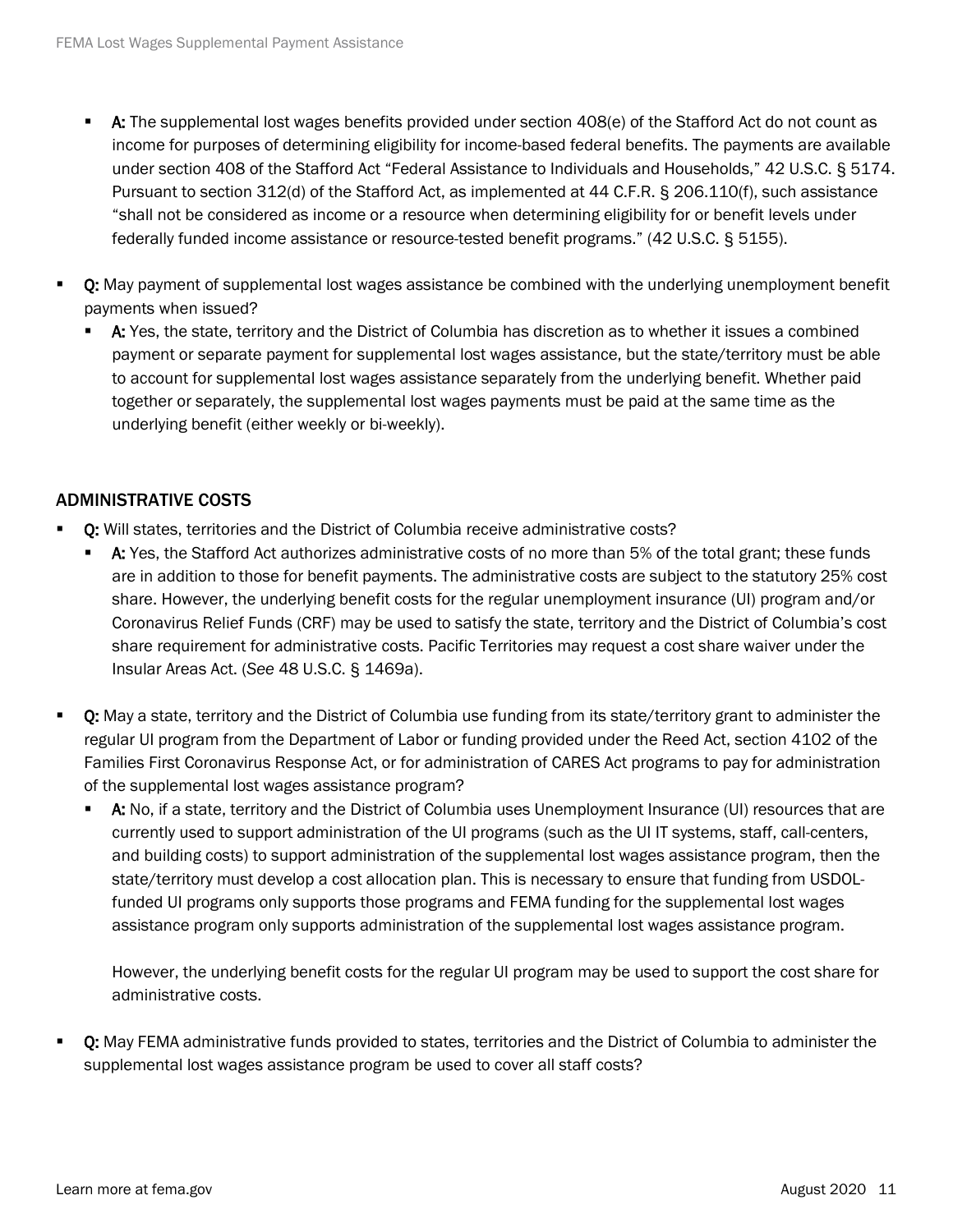- A: The supplemental lost wages benefits provided under section 408(e) of the Stafford Act do not count as income for purposes of determining eligibility for income-based federal benefits. The payments are available under section 408 of the Stafford Act "Federal Assistance to Individuals and Households," 42 U.S.C. § 5174. Pursuant to section 312(d) of the Stafford Act, as implemented at 44 C.F.R. § 206.110(f), such assistance "shall not be considered as income or a resource when determining eligibility for or benefit levels under federally funded income assistance or resource-tested benefit programs." (42 U.S.C. § 5155).
- Q: May payment of supplemental lost wages assistance be combined with the underlying unemployment benefit payments when issued?
	- **A:** Yes, the state, territory and the District of Columbia has discretion as to whether it issues a combined payment or separate payment for supplemental lost wages assistance, but the state/territory must be able to account for supplemental lost wages assistance separately from the underlying benefit. Whether paid together or separately, the supplemental lost wages payments must be paid at the same time as the underlying benefit (either weekly or bi-weekly).

## ADMINISTRATIVE COSTS

- Q: Will states, territories and the District of Columbia receive administrative costs?
	- A: Yes, the Stafford Act authorizes administrative costs of no more than 5% of the total grant; these funds are in addition to those for benefit payments. The administrative costs are subject to the statutory 25% cost share. However, the underlying benefit costs for the regular unemployment insurance (UI) program and/or Coronavirus Relief Funds (CRF) may be used to satisfy the state, territory and the District of Columbia's cost share requirement for administrative costs. Pacific Territories may request a cost share waiver under the Insular Areas Act. (*See* 48 U.S.C. § 1469a).
- **Q:** May a state, territory and the District of Columbia use funding from its state/territory grant to administer the regular UI program from the Department of Labor or funding provided under the Reed Act, section 4102 of the Families First Coronavirus Response Act, or for administration of CARES Act programs to pay for administration of the supplemental lost wages assistance program?
	- A: No, if a state, territory and the District of Columbia uses Unemployment Insurance (UI) resources that are currently used to support administration of the UI programs (such as the UI IT systems, staff, call-centers, and building costs) to support administration of the supplemental lost wages assistance program, then the state/territory must develop a cost allocation plan. This is necessary to ensure that funding from USDOLfunded UI programs only supports those programs and FEMA funding for the supplemental lost wages assistance program only supports administration of the supplemental lost wages assistance program.

However, the underlying benefit costs for the regular UI program may be used to support the cost share for administrative costs.

 Q: May FEMA administrative funds provided to states, territories and the District of Columbia to administer the supplemental lost wages assistance program be used to cover all staff costs?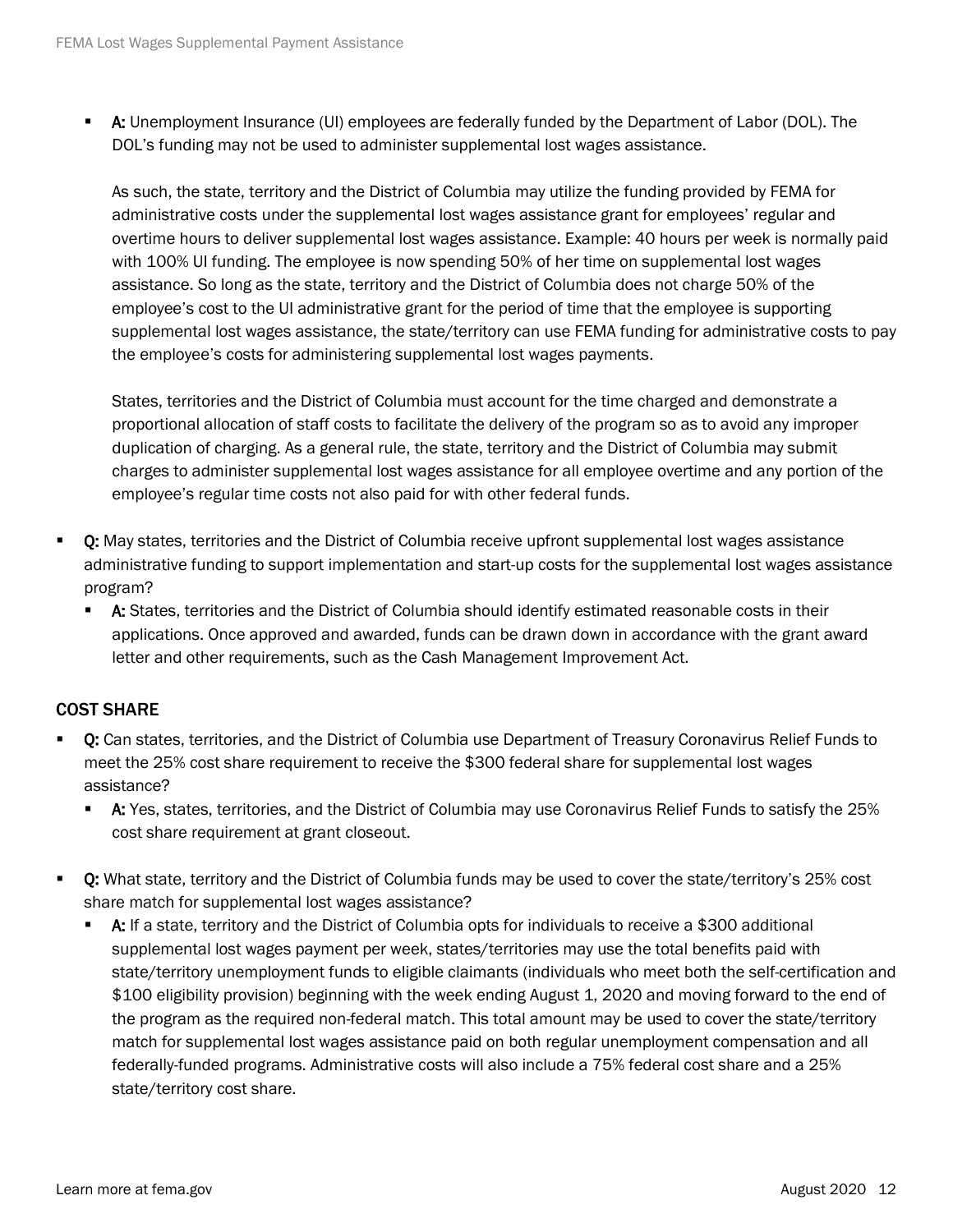A: Unemployment Insurance (UI) employees are federally funded by the Department of Labor (DOL). The DOL's funding may not be used to administer supplemental lost wages assistance.

As such, the state, territory and the District of Columbia may utilize the funding provided by FEMA for administrative costs under the supplemental lost wages assistance grant for employees' regular and overtime hours to deliver supplemental lost wages assistance. Example: 40 hours per week is normally paid with 100% UI funding. The employee is now spending 50% of her time on supplemental lost wages assistance. So long as the state, territory and the District of Columbia does not charge 50% of the employee's cost to the UI administrative grant for the period of time that the employee is supporting supplemental lost wages assistance, the state/territory can use FEMA funding for administrative costs to pay the employee's costs for administering supplemental lost wages payments.

States, territories and the District of Columbia must account for the time charged and demonstrate a proportional allocation of staff costs to facilitate the delivery of the program so as to avoid any improper duplication of charging. As a general rule, the state, territory and the District of Columbia may submit charges to administer supplemental lost wages assistance for all employee overtime and any portion of the employee's regular time costs not also paid for with other federal funds.

- Q: May states, territories and the District of Columbia receive upfront supplemental lost wages assistance administrative funding to support implementation and start-up costs for the supplemental lost wages assistance program?
	- A: States, territories and the District of Columbia should identify estimated reasonable costs in their applications. Once approved and awarded, funds can be drawn down in accordance with the grant award letter and other requirements, such as the Cash Management Improvement Act.

## COST SHARE

- Q: Can states, territories, and the District of Columbia use Department of Treasury Coronavirus Relief Funds to meet the 25% cost share requirement to receive the \$300 federal share for supplemental lost wages assistance?
	- **A:** Yes, states, territories, and the District of Columbia may use Coronavirus Relief Funds to satisfy the 25% cost share requirement at grant closeout.
- Q: What state, territory and the District of Columbia funds may be used to cover the state/territory's 25% cost share match for supplemental lost wages assistance?
	- $\blacksquare$  A: If a state, territory and the District of Columbia opts for individuals to receive a \$300 additional supplemental lost wages payment per week, states/territories may use the total benefits paid with state/territory unemployment funds to eligible claimants (individuals who meet both the self-certification and \$100 eligibility provision) beginning with the week ending August 1, 2020 and moving forward to the end of the program as the required non-federal match. This total amount may be used to cover the state/territory match for supplemental lost wages assistance paid on both regular unemployment compensation and all federally-funded programs. Administrative costs will also include a 75% federal cost share and a 25% state/territory cost share.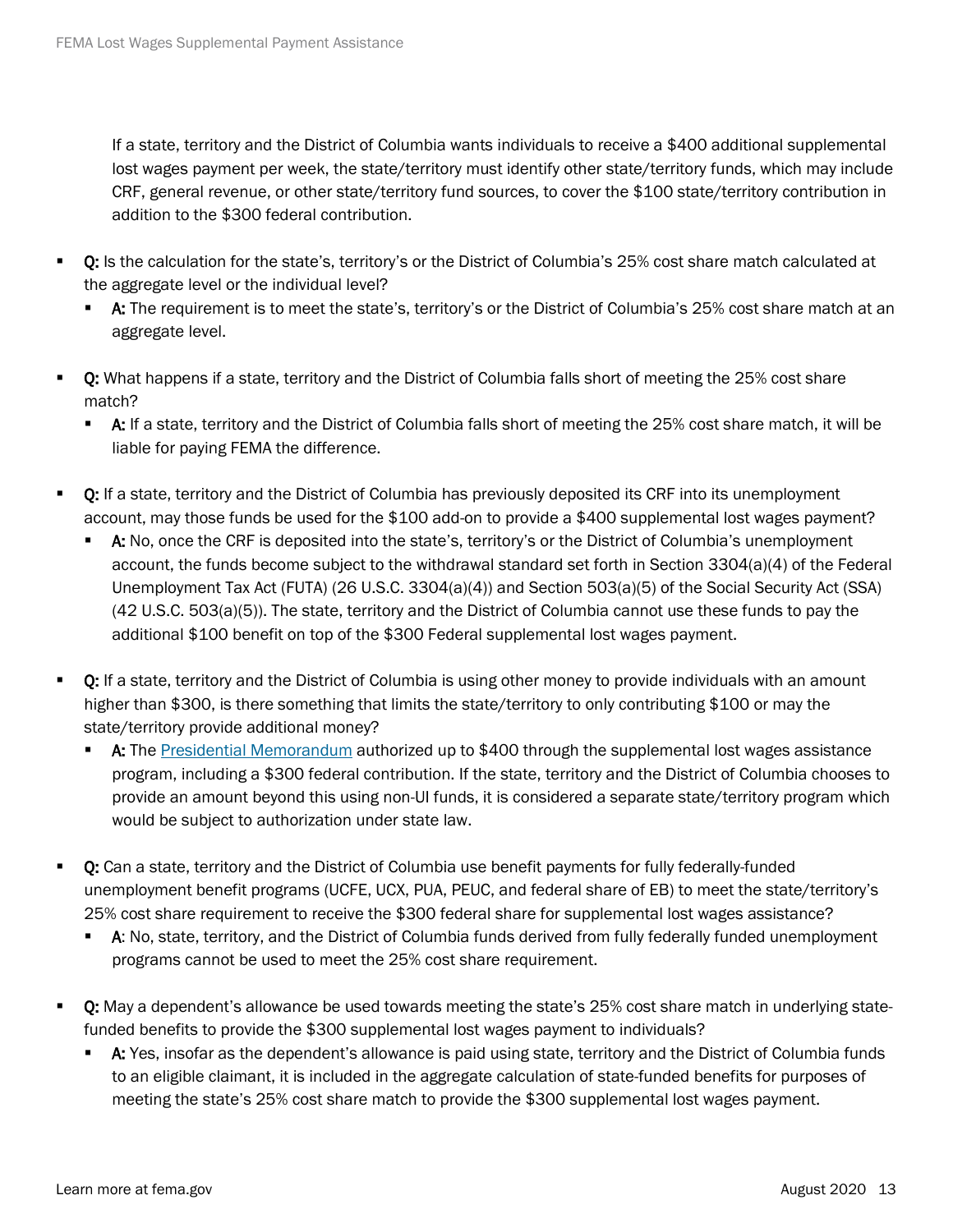If a state, territory and the District of Columbia wants individuals to receive a \$400 additional supplemental lost wages payment per week, the state/territory must identify other state/territory funds, which may include CRF, general revenue, or other state/territory fund sources, to cover the \$100 state/territory contribution in addition to the \$300 federal contribution.

- Q: Is the calculation for the state's, territory's or the District of Columbia's 25% cost share match calculated at the aggregate level or the individual level?
	- **A:** The requirement is to meet the state's, territory's or the District of Columbia's 25% cost share match at an aggregate level.
- Q: What happens if a state, territory and the District of Columbia falls short of meeting the 25% cost share match?
	- **A:** If a state, territory and the District of Columbia falls short of meeting the 25% cost share match, it will be liable for paying FEMA the difference.
- **Q:** If a state, territory and the District of Columbia has previously deposited its CRF into its unemployment account, may those funds be used for the \$100 add-on to provide a \$400 supplemental lost wages payment?
	- A: No, once the CRF is deposited into the state's, territory's or the District of Columbia's unemployment account, the funds become subject to the withdrawal standard set forth in Section 3304(a)(4) of the Federal Unemployment Tax Act (FUTA) (26 U.S.C. 3304(a)(4)) and Section 503(a)(5) of the Social Security Act (SSA) (42 U.S.C. 503(a)(5)). The state, territory and the District of Columbia cannot use these funds to pay the additional \$100 benefit on top of the \$300 Federal supplemental lost wages payment.
- **D:** If a state, territory and the District of Columbia is using other money to provide individuals with an amount higher than \$300, is there something that limits the state/territory to only contributing \$100 or may the state/territory provide additional money?
	- A: The [Presidential Memorandum](https://www.whitehouse.gov/presidential-actions/memorandum-authorizing-needs-assistance-program-major-disaster-declarations-related-coronavirus-disease-2019/) authorized up to \$400 through the supplemental lost wages assistance program, including a \$300 federal contribution. If the state, territory and the District of Columbia chooses to provide an amount beyond this using non-UI funds, it is considered a separate state/territory program which would be subject to authorization under state law.
- Q: Can a state, territory and the District of Columbia use benefit payments for fully federally-funded unemployment benefit programs (UCFE, UCX, PUA, PEUC, and federal share of EB) to meet the state/territory's 25% cost share requirement to receive the \$300 federal share for supplemental lost wages assistance?
	- **A:** No, state, territory, and the District of Columbia funds derived from fully federally funded unemployment programs cannot be used to meet the 25% cost share requirement.
- Q: May a dependent's allowance be used towards meeting the state's 25% cost share match in underlying statefunded benefits to provide the \$300 supplemental lost wages payment to individuals?
	- A: Yes, insofar as the dependent's allowance is paid using state, territory and the District of Columbia funds to an eligible claimant, it is included in the aggregate calculation of state-funded benefits for purposes of meeting the state's 25% cost share match to provide the \$300 supplemental lost wages payment.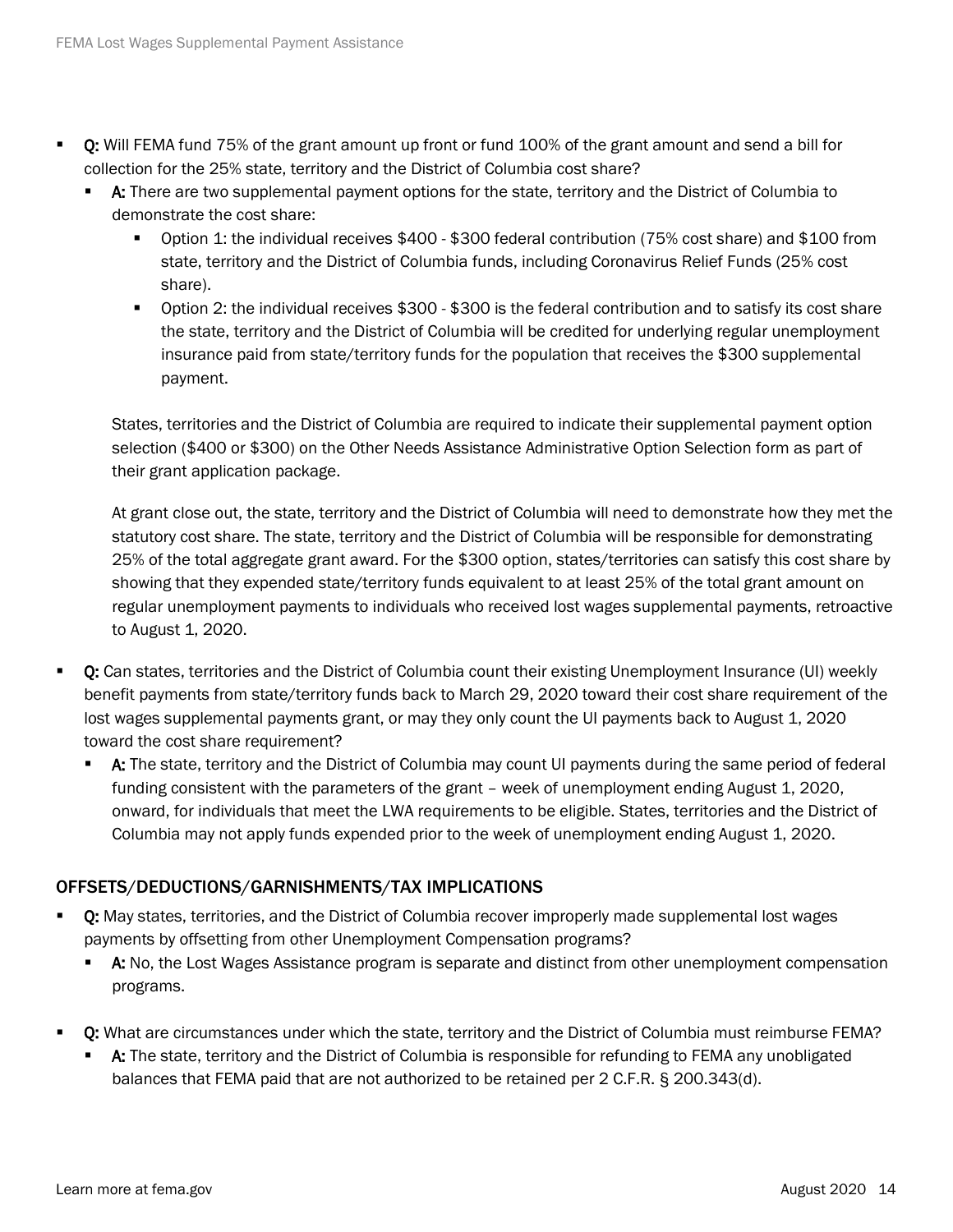- Q: Will FEMA fund 75% of the grant amount up front or fund 100% of the grant amount and send a bill for collection for the 25% state, territory and the District of Columbia cost share?
	- A: There are two supplemental payment options for the state, territory and the District of Columbia to demonstrate the cost share:
		- Option 1: the individual receives \$400 \$300 federal contribution (75% cost share) and \$100 from state, territory and the District of Columbia funds, including Coronavirus Relief Funds (25% cost share).
		- Option 2: the individual receives \$300 \$300 is the federal contribution and to satisfy its cost share the state, territory and the District of Columbia will be credited for underlying regular unemployment insurance paid from state/territory funds for the population that receives the \$300 supplemental payment.

States, territories and the District of Columbia are required to indicate their supplemental payment option selection (\$400 or \$300) on the Other Needs Assistance Administrative Option Selection form as part of their grant application package.

At grant close out, the state, territory and the District of Columbia will need to demonstrate how they met the statutory cost share. The state, territory and the District of Columbia will be responsible for demonstrating 25% of the total aggregate grant award. For the \$300 option, states/territories can satisfy this cost share by showing that they expended state/territory funds equivalent to at least 25% of the total grant amount on regular unemployment payments to individuals who received lost wages supplemental payments, retroactive to August 1, 2020.

- Q: Can states, territories and the District of Columbia count their existing Unemployment Insurance (UI) weekly benefit payments from state/territory funds back to March 29, 2020 toward their cost share requirement of the lost wages supplemental payments grant, or may they only count the UI payments back to August 1, 2020 toward the cost share requirement?
	- **A:** The state, territory and the District of Columbia may count UI payments during the same period of federal funding consistent with the parameters of the grant - week of unemployment ending August 1, 2020, onward, for individuals that meet the LWA requirements to be eligible. States, territories and the District of Columbia may not apply funds expended prior to the week of unemployment ending August 1, 2020.

## OFFSETS/DEDUCTIONS/GARNISHMENTS/TAX IMPLICATIONS

- Q: May states, territories, and the District of Columbia recover improperly made supplemental lost wages payments by offsetting from other Unemployment Compensation programs?
	- **A:** No, the Lost Wages Assistance program is separate and distinct from other unemployment compensation programs.
- **Q:** What are circumstances under which the state, territory and the District of Columbia must reimburse FEMA?
	- A: The state, territory and the District of Columbia is responsible for refunding to FEMA any unobligated balances that FEMA paid that are not authorized to be retained per 2 C.F.R. § 200.343(d).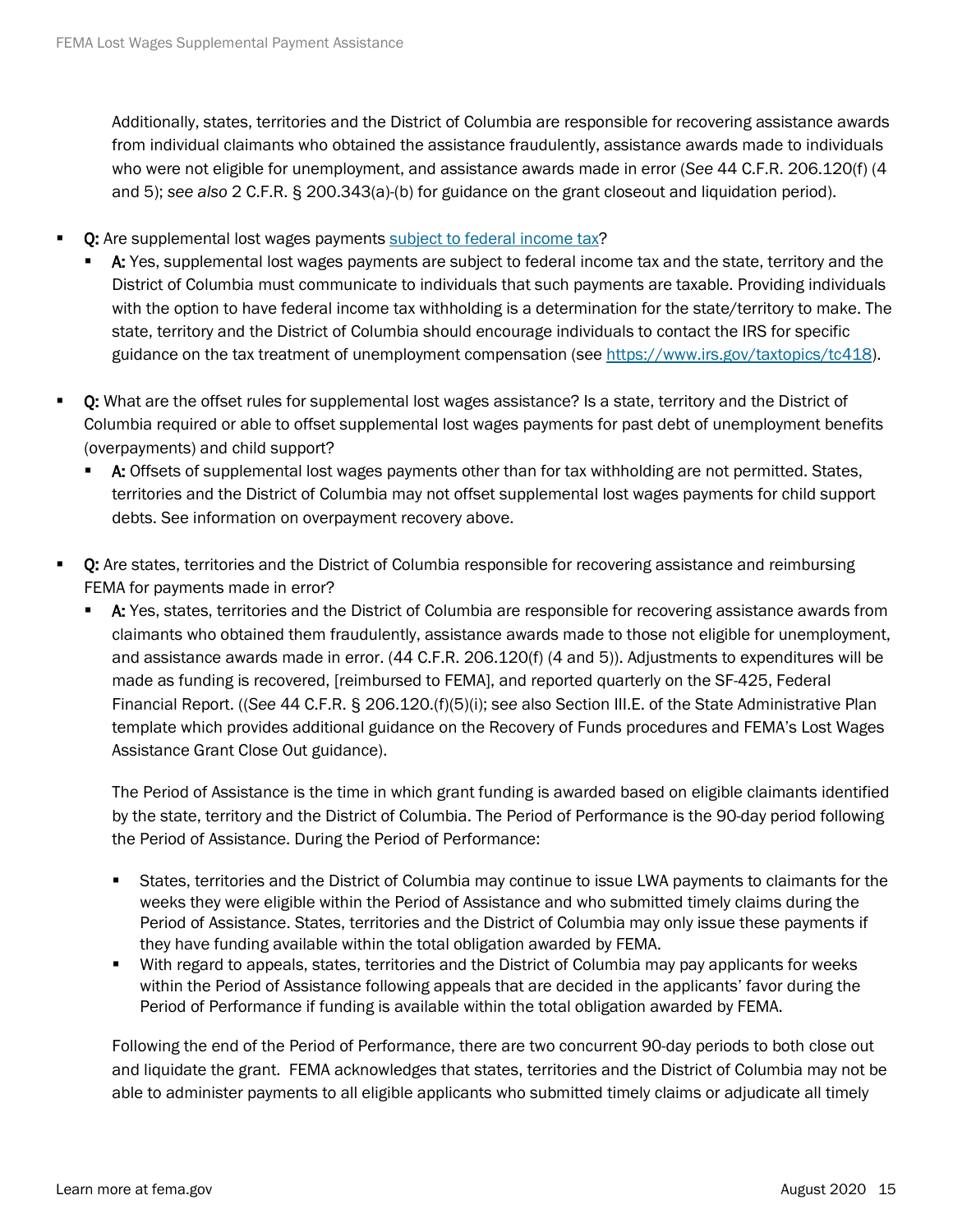Additionally, states, territories and the District of Columbia are responsible for recovering assistance awards from individual claimants who obtained the assistance fraudulently, assistance awards made to individuals who were not eligible for unemployment, and assistance awards made in error (*See* 44 C.F.R. 206.120(f) (4 and 5); *see also* 2 C.F.R. § 200.343(a)-(b) for guidance on the grant closeout and liquidation period).

- Q: Are supplemental lost wages payments [subject to federal income tax?](https://www.irs.gov/pub/irs-pdf/p5444.pdf)
	- A: Yes, supplemental lost wages payments are subject to federal income tax and the state, territory and the District of Columbia must communicate to individuals that such payments are taxable. Providing individuals with the option to have federal income tax withholding is a determination for the state/territory to make. The state, territory and the District of Columbia should encourage individuals to contact the IRS for specific guidance on the tax treatment of unemployment compensation (see [https://www.irs.gov/taxtopics/tc418\)](https://www.irs.gov/taxtopics/tc418).
- Q: What are the offset rules for supplemental lost wages assistance? Is a state, territory and the District of Columbia required or able to offset supplemental lost wages payments for past debt of unemployment benefits (overpayments) and child support?
	- A: Offsets of supplemental lost wages payments other than for tax withholding are not permitted. States, territories and the District of Columbia may not offset supplemental lost wages payments for child support debts. See information on overpayment recovery above.
- Q: Are states, territories and the District of Columbia responsible for recovering assistance and reimbursing FEMA for payments made in error?
	- A: Yes, states, territories and the District of Columbia are responsible for recovering assistance awards from claimants who obtained them fraudulently, assistance awards made to those not eligible for unemployment, and assistance awards made in error. (44 C.F.R. 206.120(f) (4 and 5)). Adjustments to expenditures will be made as funding is recovered, [reimbursed to FEMA], and reported quarterly on the SF-425, Federal Financial Report. ((*See* 44 C.F.R. § 206.120.(f)(5)(i); se*e* also Section III.E. of the State Administrative Plan template which provides additional guidance on the Recovery of Funds procedures and FEMA's Lost Wages Assistance Grant Close Out guidance).

The Period of Assistance is the time in which grant funding is awarded based on eligible claimants identified by the state, territory and the District of Columbia. The Period of Performance is the 90-day period following the Period of Assistance. During the Period of Performance:

- States, territories and the District of Columbia may continue to issue LWA payments to claimants for the weeks they were eligible within the Period of Assistance and who submitted timely claims during the Period of Assistance. States, territories and the District of Columbia may only issue these payments if they have funding available within the total obligation awarded by FEMA.
- With regard to appeals, states, territories and the District of Columbia may pay applicants for weeks within the Period of Assistance following appeals that are decided in the applicants' favor during the Period of Performance if funding is available within the total obligation awarded by FEMA.

Following the end of the Period of Performance, there are two concurrent 90-day periods to both close out and liquidate the grant. FEMA acknowledges that states, territories and the District of Columbia may not be able to administer payments to all eligible applicants who submitted timely claims or adjudicate all timely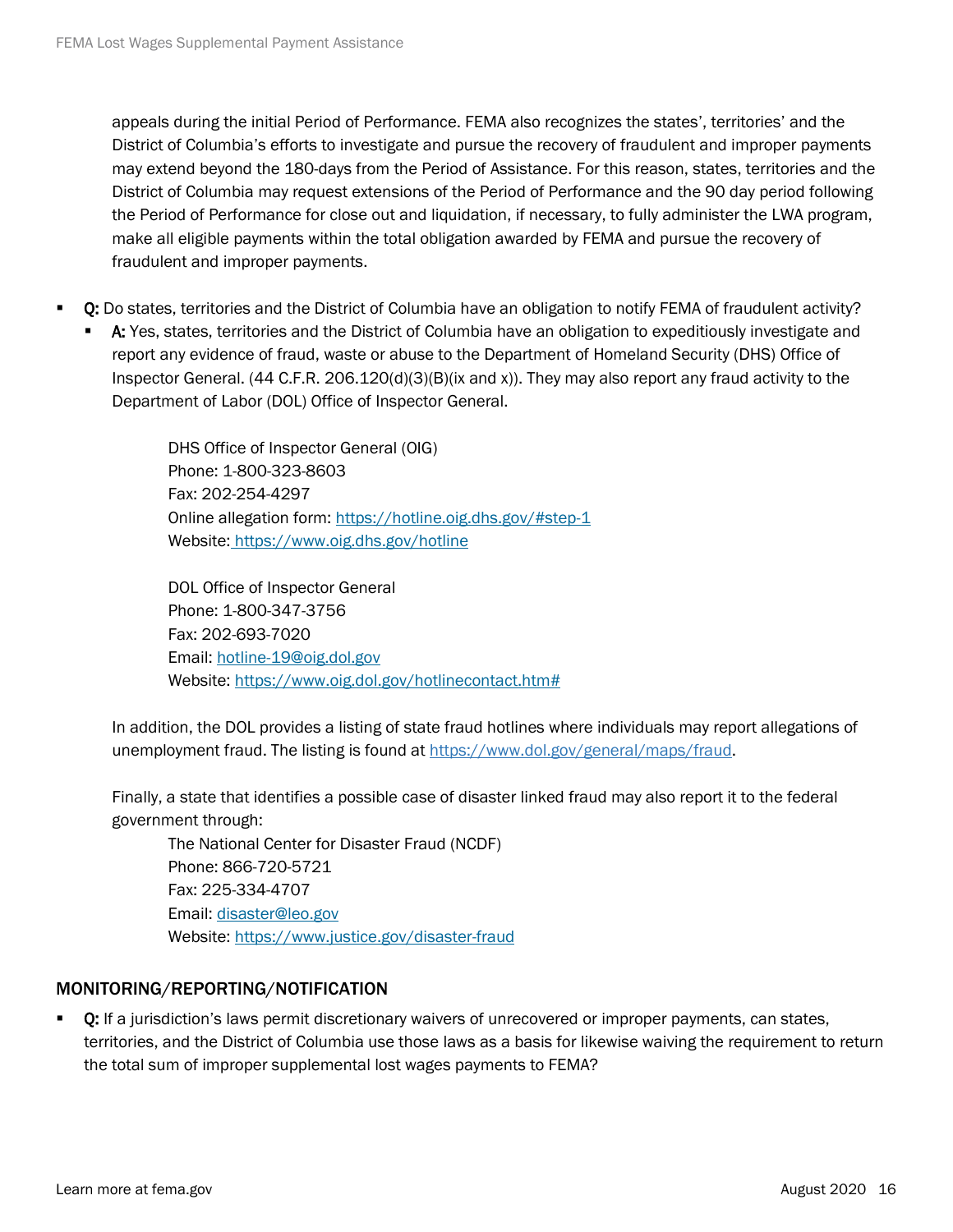appeals during the initial Period of Performance. FEMA also recognizes the states', territories' and the District of Columbia's efforts to investigate and pursue the recovery of fraudulent and improper payments may extend beyond the 180-days from the Period of Assistance. For this reason, states, territories and the District of Columbia may request extensions of the Period of Performance and the 90 day period following the Period of Performance for close out and liquidation, if necessary, to fully administer the LWA program, make all eligible payments within the total obligation awarded by FEMA and pursue the recovery of fraudulent and improper payments.

- Q: Do states, territories and the District of Columbia have an obligation to notify FEMA of fraudulent activity?
	- A: Yes, states, territories and the District of Columbia have an obligation to expeditiously investigate and report any evidence of fraud, waste or abuse to the Department of Homeland Security (DHS) Office of Inspector General. (44 C.F.R.  $206.120(d)(3)(B)(ix and x)$ ). They may also report any fraud activity to the Department of Labor (DOL) Office of Inspector General.

DHS Office of Inspector General (OIG) Phone: 1-800-323-8603 Fax: 202-254-4297 Online allegation form: https://hotline.oig.dhs.gov/#step-1 Website: <https://www.oig.dhs.gov/hotline>

DOL Office of Inspector General Phone: 1-800-347-3756 Fax: 202-693-7020 Email: [hotline-19@oig.dol.gov](mailto:hotline-19@oig.dol.gov) Website: https://www.oig.dol.gov/hotlinecontact.htm#

In addition, the DOL provides a listing of state fraud hotlines where individuals may report allegations of unemployment fraud. The listing is found at [https://www.dol.gov/general/maps/fraud.](https://www.dol.gov/general/maps/fraud)

Finally, a state that identifies a possible case of disaster linked fraud may also report it to the federal government through:

The National Center for Disaster Fraud (NCDF) Phone: 866-720-5721 Fax: 225-334-4707 Email: [disaster@leo.gov](mailto:disaster@leo.gov) Website:<https://www.justice.gov/disaster-fraud>

#### MONITORING/REPORTING/NOTIFICATION

Q: If a jurisdiction's laws permit discretionary waivers of unrecovered or improper payments, can states, territories, and the District of Columbia use those laws as a basis for likewise waiving the requirement to return the total sum of improper supplemental lost wages payments to FEMA?